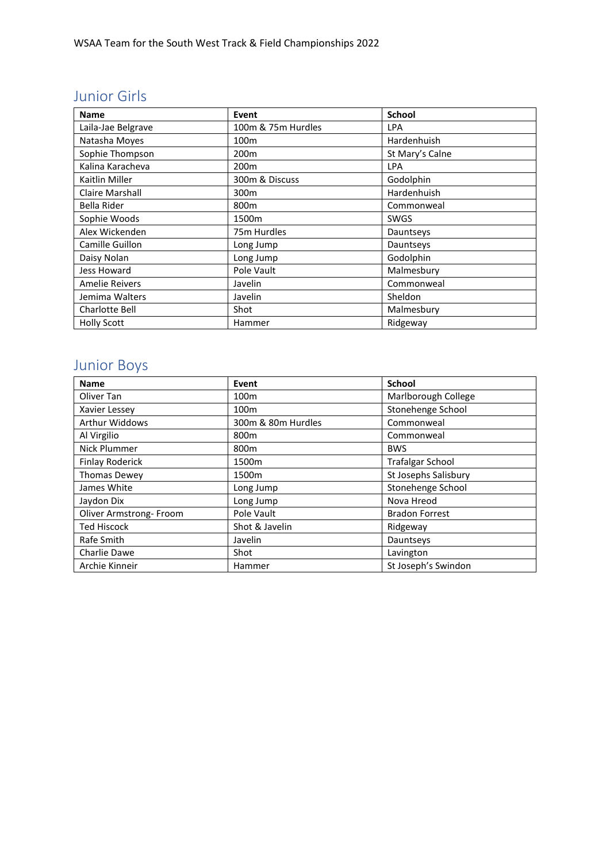#### Junior Girls

| <b>Name</b>           | Event              | <b>School</b>   |
|-----------------------|--------------------|-----------------|
| Laila-Jae Belgrave    | 100m & 75m Hurdles | <b>LPA</b>      |
| Natasha Moyes         | 100 <sub>m</sub>   | Hardenhuish     |
| Sophie Thompson       | 200 <sub>m</sub>   | St Mary's Calne |
| Kalina Karacheva      | 200 <sub>m</sub>   | <b>LPA</b>      |
| Kaitlin Miller        | 300m & Discuss     | Godolphin       |
| Claire Marshall       | 300 <sub>m</sub>   | Hardenhuish     |
| Bella Rider           | 800 <sub>m</sub>   | Commonweal      |
| Sophie Woods          | 1500m              | <b>SWGS</b>     |
| Alex Wickenden        | 75m Hurdles        | Dauntseys       |
| Camille Guillon       | Long Jump          | Dauntseys       |
| Daisy Nolan           | Long Jump          | Godolphin       |
| Jess Howard           | Pole Vault         | Malmesbury      |
| <b>Amelie Reivers</b> | Javelin            | Commonweal      |
| Jemima Walters        | Javelin            | Sheldon         |
| Charlotte Bell        | Shot               | Malmesbury      |
| <b>Holly Scott</b>    | Hammer             | Ridgeway        |

# Junior Boys

| <b>Name</b>             | Event              | <b>School</b>           |
|-------------------------|--------------------|-------------------------|
| Oliver Tan              | 100 <sub>m</sub>   | Marlborough College     |
| Xavier Lessey           | 100m               | Stonehenge School       |
| <b>Arthur Widdows</b>   | 300m & 80m Hurdles | Commonweal              |
| Al Virgilio             | 800 <sub>m</sub>   | Commonweal              |
| Nick Plummer            | 800 <sub>m</sub>   | <b>BWS</b>              |
| <b>Finlay Roderick</b>  | 1500m              | <b>Trafalgar School</b> |
| <b>Thomas Dewey</b>     | 1500m              | St Josephs Salisbury    |
| James White             | Long Jump          | Stonehenge School       |
| Jaydon Dix              | Long Jump          | Nova Hreod              |
| Oliver Armstrong- Froom | Pole Vault         | <b>Bradon Forrest</b>   |
| <b>Ted Hiscock</b>      | Shot & Javelin     | Ridgeway                |
| Rafe Smith              | Javelin            | Dauntseys               |
| Charlie Dawe            | Shot               | Lavington               |
| Archie Kinneir          | Hammer             | St Joseph's Swindon     |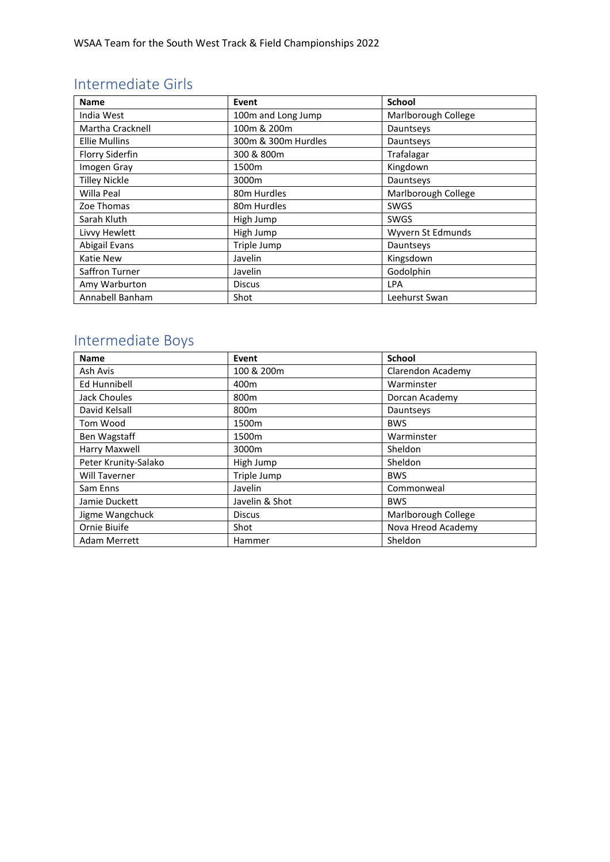#### Intermediate Girls

| <b>Name</b>          | Event               | <b>School</b>       |
|----------------------|---------------------|---------------------|
| India West           | 100m and Long Jump  | Marlborough College |
| Martha Cracknell     | 100m & 200m         | Dauntseys           |
| <b>Ellie Mullins</b> | 300m & 300m Hurdles | Dauntseys           |
| Florry Siderfin      | 300 & 800m          | Trafalagar          |
| Imogen Gray          | 1500m               | Kingdown            |
| <b>Tilley Nickle</b> | 3000m               | Dauntseys           |
| Willa Peal           | 80m Hurdles         | Marlborough College |
| Zoe Thomas           | 80m Hurdles         | <b>SWGS</b>         |
| Sarah Kluth          | High Jump           | <b>SWGS</b>         |
| Livvy Hewlett        | High Jump           | Wyvern St Edmunds   |
| Abigail Evans        | Triple Jump         | Dauntseys           |
| <b>Katie New</b>     | Javelin             | Kingsdown           |
| Saffron Turner       | Javelin             | Godolphin           |
| Amy Warburton        | <b>Discus</b>       | LPA                 |
| Annabell Banham      | Shot                | Leehurst Swan       |

# Intermediate Boys

| <b>Name</b>          | Event            | <b>School</b>       |
|----------------------|------------------|---------------------|
| Ash Avis             | 100 & 200m       | Clarendon Academy   |
| Ed Hunnibell         | 400m             | Warminster          |
| Jack Choules         | 800 <sub>m</sub> | Dorcan Academy      |
| David Kelsall        | 800 <sub>m</sub> | Dauntseys           |
| Tom Wood             | 1500m            | <b>BWS</b>          |
| Ben Wagstaff         | 1500m            | Warminster          |
| Harry Maxwell        | 3000m            | Sheldon             |
| Peter Krunity-Salako | High Jump        | Sheldon             |
| <b>Will Taverner</b> | Triple Jump      | <b>BWS</b>          |
| Sam Enns             | Javelin          | Commonweal          |
| Jamie Duckett        | Javelin & Shot   | <b>BWS</b>          |
| Jigme Wangchuck      | <b>Discus</b>    | Marlborough College |
| Ornie Biuife         | Shot             | Nova Hreod Academy  |
| <b>Adam Merrett</b>  | Hammer           | Sheldon             |